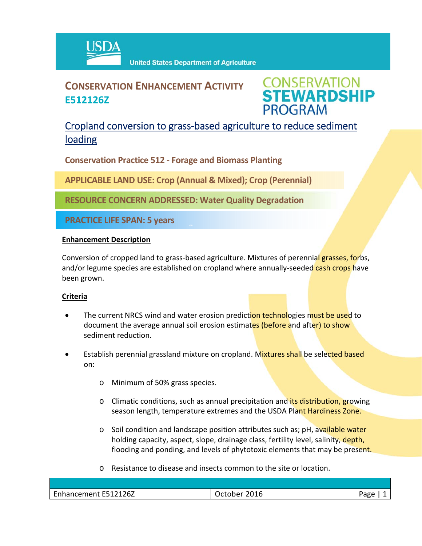

# **CONSERVATION ENHANCEMENT ACTIVITY E512126Z**



## Cropland conversion to grass‐based agriculture to reduce sediment loading

**Conservation Practice 512 ‐ Forage and Biomass Planting**

**APPLICABLE LAND USE: Crop (Annual & Mixed); Crop (Perennial)**

**RESOURCE CONCERN ADDRESSED: Water Quality Degradation** 

 $\hat{a}$ 

**PRACTICE LIFE SPAN: 5 years**

### **Enhancement Description**

Conversion of cropped land to grass-based agriculture. Mixtures of perennial grasses, forbs, and/or legume species are established on cropland where annually-seeded cash crops have been grown.

## **Criteria**

- The current NRCS wind and water erosion prediction technologies must be used to document the average annual soil erosion estimates (before and after) to show sediment reduction.
- Establish perennial grassland mixture on cropland. Mixtures shall be selected based on:
	- o Minimum of 50% grass species.
	- o Climatic conditions, such as annual precipitation and its distribution, growing season length, temperature extremes and the USDA Plant Hardiness Zone.
	- o Soil condition and landscape position attributes such as; pH, available water holding capacity, aspect, slope, drainage class, fertility level, salinity, depth, flooding and ponding, and levels of phytotoxic elements that may be present.
	- o Resistance to disease and insects common to the site or location.

| $\sim$<br>E512126Z<br>ement<br>ын<br>. | .0002<br>_____ | . der<br>∽ວ |
|----------------------------------------|----------------|-------------|
|                                        |                |             |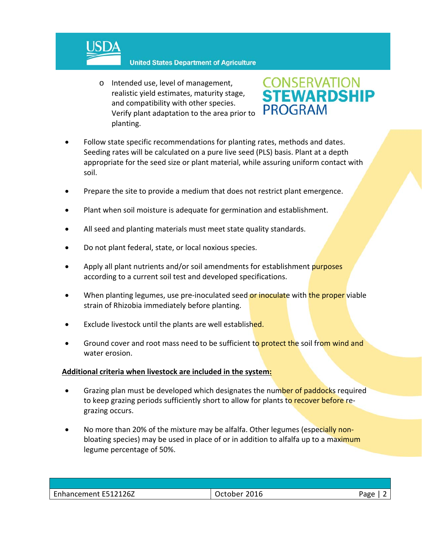

#### **United States Department of Agriculture**

o Intended use, level of management, realistic yield estimates, maturity stage, and compatibility with other species. Verify plant adaptation to the area prior to planting.



- Follow state specific recommendations for planting rates, methods and dates. Seeding rates will be calculated on a pure live seed (PLS) basis. Plant at a depth appropriate for the seed size or plant material, while assuring uniform contact with soil.
- Prepare the site to provide a medium that does not restrict plant emergence.
- Plant when soil moisture is adequate for germination and establishment.
- All seed and planting materials must meet state quality standards.
- Do not plant federal, state, or local noxious species.
- Apply all plant nutrients and/or soil amendments for establishment purposes according to a current soil test and developed specifications.
- When planting legumes, use pre-inoculated seed or inoculate with the proper viable strain of Rhizobia immediately before planting.
- Exclude livestock until the plants are well established.
- Ground cover and root mass need to be sufficient to protect the soil from wind and water erosion.

#### **Additional criteria when livestock are included in the system:**

- Grazing plan must be developed which designates the number of paddocks required to keep grazing periods sufficiently short to allow for plants to recover before regrazing occurs.
- No more than 20% of the mixture may be alfalfa. Other legumes (especially nonbloating species) may be used in place of or in addition to alfalfa up to a maximum legume percentage of 50%.

| Enhancement E512126Z | 2016<br><b>October</b> | Page |
|----------------------|------------------------|------|